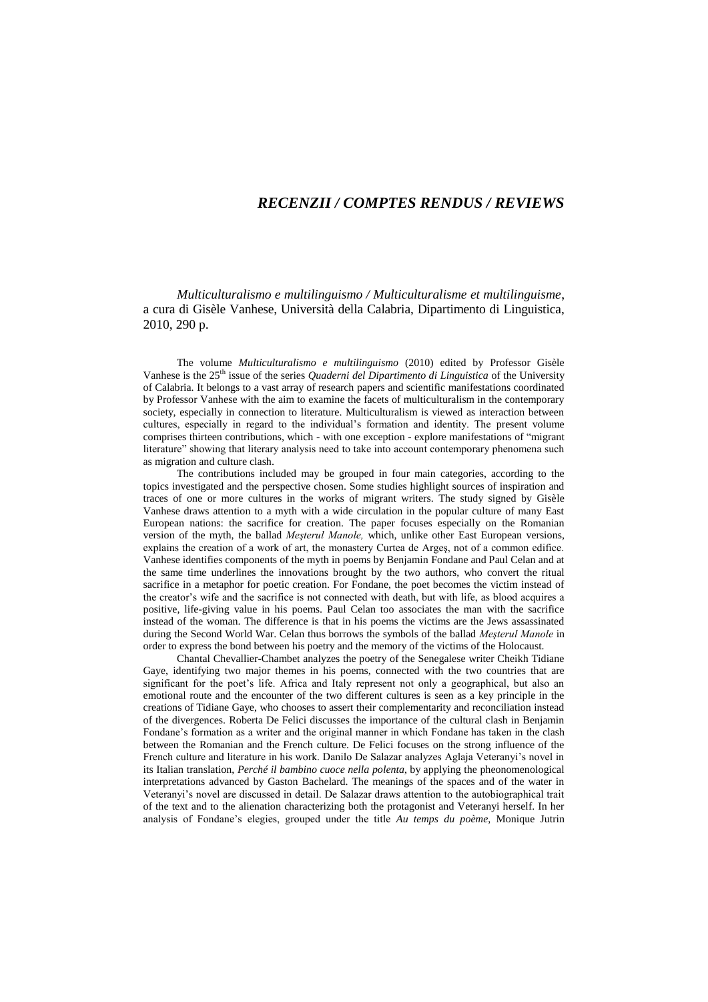## *RECENZII / COMPTES RENDUS / REVIEWS*

*Multiculturalismo e multilinguismo / Multiculturalisme et multilinguisme*, a cura di Gisèle Vanhese, Università della Calabria, Dipartimento di Linguistica, 2010, 290 p.

The volume *Multiculturalismo e multilinguismo* (2010) edited by Professor Gisèle Vanhese is the 25<sup>th</sup> issue of the series *Quaderni del Dipartimento di Linguistica* of the University of Calabria. It belongs to a vast array of research papers and scientific manifestations coordinated by Professor Vanhese with the aim to examine the facets of multiculturalism in the contemporary society, especially in connection to literature. Multiculturalism is viewed as interaction between cultures, especially in regard to the individual"s formation and identity. The present volume comprises thirteen contributions, which - with one exception - explore manifestations of "migrant literature" showing that literary analysis need to take into account contemporary phenomena such as migration and culture clash.

The contributions included may be grouped in four main categories, according to the topics investigated and the perspective chosen. Some studies highlight sources of inspiration and traces of one or more cultures in the works of migrant writers. The study signed by Gisèle Vanhese draws attention to a myth with a wide circulation in the popular culture of many East European nations: the sacrifice for creation. The paper focuses especially on the Romanian version of the myth, the ballad *Meşterul Manole,* which, unlike other East European versions, explains the creation of a work of art, the monastery Curtea de Argeş, not of a common edifice. Vanhese identifies components of the myth in poems by Benjamin Fondane and Paul Celan and at the same time underlines the innovations brought by the two authors, who convert the ritual sacrifice in a metaphor for poetic creation. For Fondane, the poet becomes the victim instead of the creator"s wife and the sacrifice is not connected with death, but with life, as blood acquires a positive, life-giving value in his poems. Paul Celan too associates the man with the sacrifice instead of the woman. The difference is that in his poems the victims are the Jews assassinated during the Second World War. Celan thus borrows the symbols of the ballad *Meşterul Manole* in order to express the bond between his poetry and the memory of the victims of the Holocaust.

Chantal Chevallier-Chambet analyzes the poetry of the Senegalese writer Cheikh Tidiane Gaye, identifying two major themes in his poems, connected with the two countries that are significant for the poet's life. Africa and Italy represent not only a geographical, but also an emotional route and the encounter of the two different cultures is seen as a key principle in the creations of Tidiane Gaye, who chooses to assert their complementarity and reconciliation instead of the divergences. Roberta De Felici discusses the importance of the cultural clash in Benjamin Fondane's formation as a writer and the original manner in which Fondane has taken in the clash between the Romanian and the French culture. De Felici focuses on the strong influence of the French culture and literature in his work. Danilo De Salazar analyzes Aglaja Veteranyi"s novel in its Italian translation, *Perché il bambino cuoce nella polenta*, by applying the pheonomenological interpretations advanced by Gaston Bachelard. The meanings of the spaces and of the water in Veteranyi"s novel are discussed in detail. De Salazar draws attention to the autobiographical trait of the text and to the alienation characterizing both the protagonist and Veteranyi herself. In her analysis of Fondane"s elegies, grouped under the title *Au temps du poème*, Monique Jutrin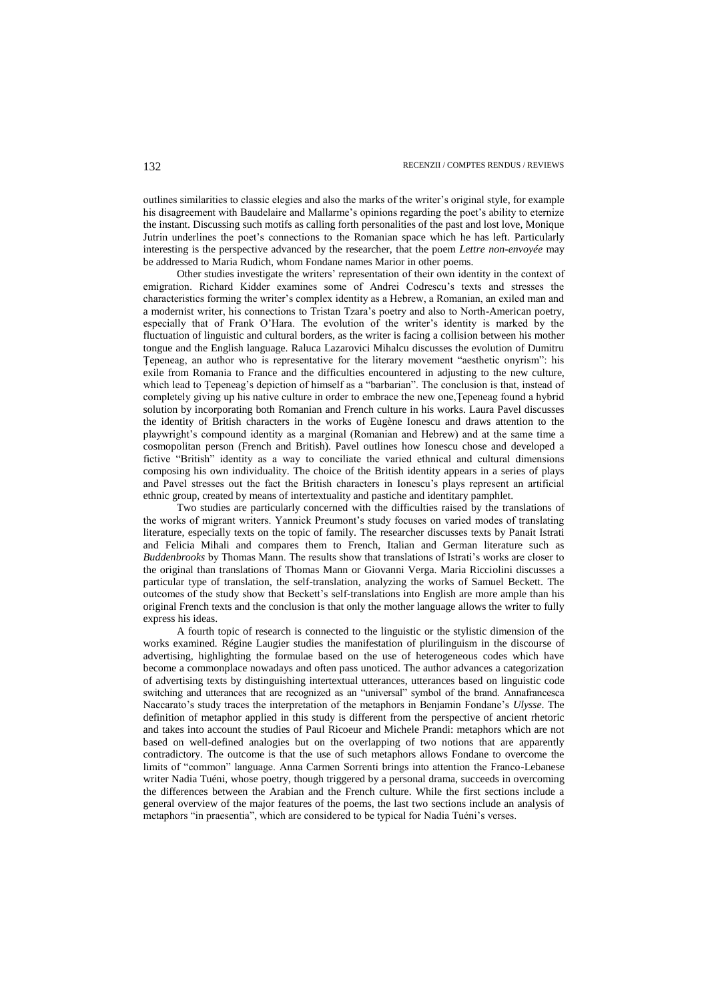outlines similarities to classic elegies and also the marks of the writer"s original style, for example his disagreement with Baudelaire and Mallarme's opinions regarding the poet's ability to eternize the instant. Discussing such motifs as calling forth personalities of the past and lost love, Monique Jutrin underlines the poet"s connections to the Romanian space which he has left. Particularly interesting is the perspective advanced by the researcher, that the poem *Lettre non-envoyée* may be addressed to Maria Rudich, whom Fondane names Marior in other poems.

Other studies investigate the writers" representation of their own identity in the context of emigration. Richard Kidder examines some of Andrei Codrescu"s texts and stresses the characteristics forming the writer"s complex identity as a Hebrew, a Romanian, an exiled man and a modernist writer, his connections to Tristan Tzara"s poetry and also to North-American poetry, especially that of Frank O"Hara. The evolution of the writer"s identity is marked by the fluctuation of linguistic and cultural borders, as the writer is facing a collision between his mother tongue and the English language. Raluca Lazarovici Mihalcu discusses the evolution of Dumitru Ţepeneag, an author who is representative for the literary movement "aesthetic onyrism": his exile from Romania to France and the difficulties encountered in adjusting to the new culture, which lead to Tepeneag's depiction of himself as a "barbarian". The conclusion is that, instead of completely giving up his native culture in order to embrace the new one,Ţepeneag found a hybrid solution by incorporating both Romanian and French culture in his works. Laura Pavel discusses the identity of British characters in the works of Eugène Ionescu and draws attention to the playwright"s compound identity as a marginal (Romanian and Hebrew) and at the same time a cosmopolitan person (French and British). Pavel outlines how Ionescu chose and developed a fictive "British" identity as a way to conciliate the varied ethnical and cultural dimensions composing his own individuality. The choice of the British identity appears in a series of plays and Pavel stresses out the fact the British characters in Ionescu"s plays represent an artificial ethnic group, created by means of intertextuality and pastiche and identitary pamphlet.

Two studies are particularly concerned with the difficulties raised by the translations of the works of migrant writers. Yannick Preumont"s study focuses on varied modes of translating literature, especially texts on the topic of family. The researcher discusses texts by Panait Istrati and Felicia Mihali and compares them to French, Italian and German literature such as *Buddenbrooks* by Thomas Mann. The results show that translations of Istrati's works are closer to the original than translations of Thomas Mann or Giovanni Verga. Maria Ricciolini discusses a particular type of translation, the self-translation, analyzing the works of Samuel Beckett. The outcomes of the study show that Beckett"s self-translations into English are more ample than his original French texts and the conclusion is that only the mother language allows the writer to fully express his ideas.

A fourth topic of research is connected to the linguistic or the stylistic dimension of the works examined*.* Régine Laugier studies the manifestation of plurilinguism in the discourse of advertising, highlighting the formulae based on the use of heterogeneous codes which have become a commonplace nowadays and often pass unoticed. The author advances a categorization of advertising texts by distinguishing intertextual utterances, utterances based on linguistic code switching and utterances that are recognized as an "universal" symbol of the brand. Annafrancesca Naccarato"s study traces the interpretation of the metaphors in Benjamin Fondane"s *Ulysse*. The definition of metaphor applied in this study is different from the perspective of ancient rhetoric and takes into account the studies of Paul Ricoeur and Michele Prandi: metaphors which are not based on well-defined analogies but on the overlapping of two notions that are apparently contradictory. The outcome is that the use of such metaphors allows Fondane to overcome the limits of "common" language. Anna Carmen Sorrenti brings into attention the Franco-Lebanese writer Nadia Tuéni, whose poetry, though triggered by a personal drama, succeeds in overcoming the differences between the Arabian and the French culture. While the first sections include a general overview of the major features of the poems, the last two sections include an analysis of metaphors "in praesentia", which are considered to be typical for Nadia Tuéni"s verses.